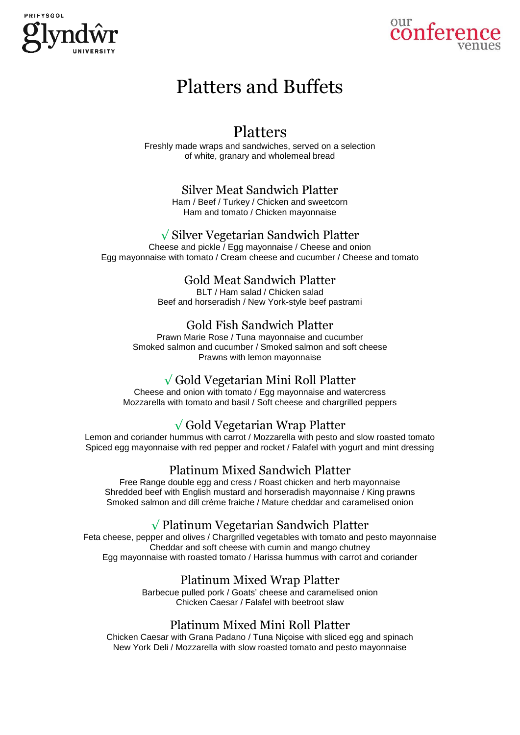



# Platters and Buffets

## Platters

Freshly made wraps and sandwiches, served on a selection of white, granary and wholemeal bread

#### Silver Meat Sandwich Platter

Ham / Beef / Turkey / Chicken and sweetcorn Ham and tomato / Chicken mayonnaise

#### √ Silver Vegetarian Sandwich Platter

Cheese and pickle / Egg mayonnaise / Cheese and onion Egg mayonnaise with tomato / Cream cheese and cucumber / Cheese and tomato

## Gold Meat Sandwich Platter

BLT / Ham salad / Chicken salad Beef and horseradish / New York-style beef pastrami

## Gold Fish Sandwich Platter

Prawn Marie Rose / Tuna mayonnaise and cucumber Smoked salmon and cucumber / Smoked salmon and soft cheese Prawns with lemon mayonnaise

## √ Gold Vegetarian Mini Roll Platter

Cheese and onion with tomato / Egg mayonnaise and watercress Mozzarella with tomato and basil / Soft cheese and chargrilled peppers

## √ Gold Vegetarian Wrap Platter

Lemon and coriander hummus with carrot / Mozzarella with pesto and slow roasted tomato Spiced egg mayonnaise with red pepper and rocket / Falafel with yogurt and mint dressing

## Platinum Mixed Sandwich Platter

Free Range double egg and cress / Roast chicken and herb mayonnaise Shredded beef with English mustard and horseradish mayonnaise / King prawns Smoked salmon and dill crème fraiche / Mature cheddar and caramelised onion

## √ Platinum Vegetarian Sandwich Platter

Feta cheese, pepper and olives / Chargrilled vegetables with tomato and pesto mayonnaise Cheddar and soft cheese with cumin and mango chutney Egg mayonnaise with roasted tomato / Harissa hummus with carrot and coriander

#### Platinum Mixed Wrap Platter

Barbecue pulled pork / Goats' cheese and caramelised onion Chicken Caesar / Falafel with beetroot slaw

#### Platinum Mixed Mini Roll Platter

Chicken Caesar with Grana Padano / Tuna Niçoise with sliced egg and spinach New York Deli / Mozzarella with slow roasted tomato and pesto mayonnaise